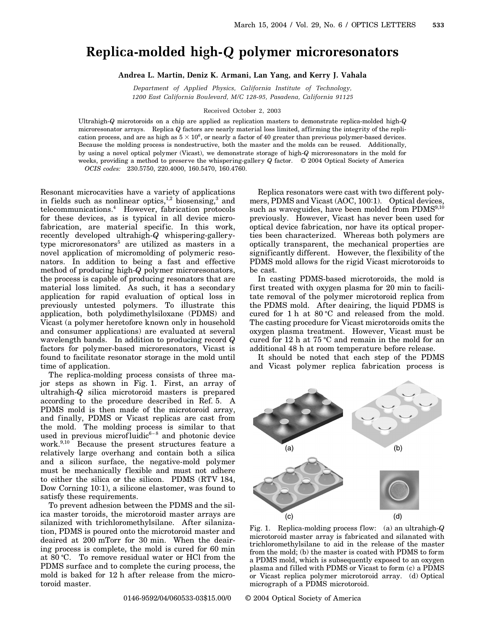## **Replica-molded high-***Q* **polymer microresonators**

**Andrea L. Martin, Deniz K. Armani, Lan Yang, and Kerry J. Vahala**

*Department of Applied Physics, California Institute of Technology, 1200 East California Boulevard, M/C 128-95, Pasadena, California 91125*

Received October 2, 2003

Ultrahigh-*Q* microtoroids on a chip are applied as replication masters to demonstrate replica-molded high-*Q* microresonator arrays. Replica *Q* factors are nearly material loss limited, affirming the integrity of the replication process, and are as high as  $5 \times 10^6$ , or nearly a factor of 40 greater than previous polymer-based devices. Because the molding process is nondestructive, both the master and the molds can be reused. Additionally, by using a novel optical polymer (Vicast), we demonstrate storage of high-*Q* microresonators in the mold for weeks, providing a method to preserve the whispering-gallery *Q* factor. © 2004 Optical Society of America *OCIS codes:* 230.5750, 220.4000, 160.5470, 160.4760.

Resonant microcavities have a variety of applications in fields such as nonlinear optics, $1,2$  biosensing, $3$  and telecommunications.4 However, fabrication protocols for these devices, as is typical in all device microfabrication, are material specific. In this work, recently developed ultrahigh-*Q* whispering-gallerytype microresonators<sup>5</sup> are utilized as masters in a novel application of micromolding of polymeric resonators. In addition to being a fast and effective method of producing high-*Q* polymer microresonators, the process is capable of producing resonators that are material loss limited. As such, it has a secondary application for rapid evaluation of optical loss in previously untested polymers. To illustrate this application, both polydimethylsiloxane (PDMS) and Vicast (a polymer heretofore known only in household and consumer applications) are evaluated at several wavelength bands. In addition to producing record *Q* factors for polymer-based microresonators, Vicast is found to facilitate resonator storage in the mold until time of application.

The replica-molding process consists of three major steps as shown in Fig. 1. First, an array of ultrahigh-*Q* silica microtoroid masters is prepared according to the procedure described in Ref. 5. A PDMS mold is then made of the microtoroid array, and finally, PDMS or Vicast replicas are cast from the mold. The molding process is similar to that used in previous microfluidic $6-8$  and photonic device work.<sup>9,10</sup> Because the present structures feature a relatively large overhang and contain both a silica and a silicon surface, the negative-mold polymer must be mechanically flexible and must not adhere to either the silica or the silicon. PDMS (RTV 184, Dow Corning 10:1), a silicone elastomer, was found to satisfy these requirements.

To prevent adhesion between the PDMS and the silica master toroids, the microtoroid master arrays are silanized with trichloromethylsilane. After silanization, PDMS is poured onto the microtoroid master and deaired at 200 mTorr for 30 min. When the deairing process is complete, the mold is cured for 60 min at 80 °C. To remove residual water or HCl from the PDMS surface and to complete the curing process, the mold is baked for 12 h after release from the microtoroid master.

such as waveguides, have been molded from PDMS<sup>9,10</sup> previously. However, Vicast has never been used for optical device fabrication, nor have its optical properties been characterized. Whereas both polymers are optically transparent, the mechanical properties are significantly different. However, the flexibility of the PDMS mold allows for the rigid Vicast microtoroids to be cast. In casting PDMS-based microtoroids, the mold is first treated with oxygen plasma for 20 min to facili-

Replica resonators were cast with two different polymers, PDMS and Vicast (AOC, 100:1). Optical devices,

tate removal of the polymer microtoroid replica from the PDMS mold. After deairing, the liquid PDMS is cured for  $1 h$  at  $80 °C$  and released from the mold. The casting procedure for Vicast microtoroids omits the oxygen plasma treatment. However, Vicast must be cured for 12 h at 75  $\rm{°C}$  and remain in the mold for an additional 48 h at room temperature before release.

It should be noted that each step of the PDMS and Vicast polymer replica fabrication process is



0146-9592/04/060533-03\$15.00/0 © 2004 Optical Society of America

 $(b)$  $(a)$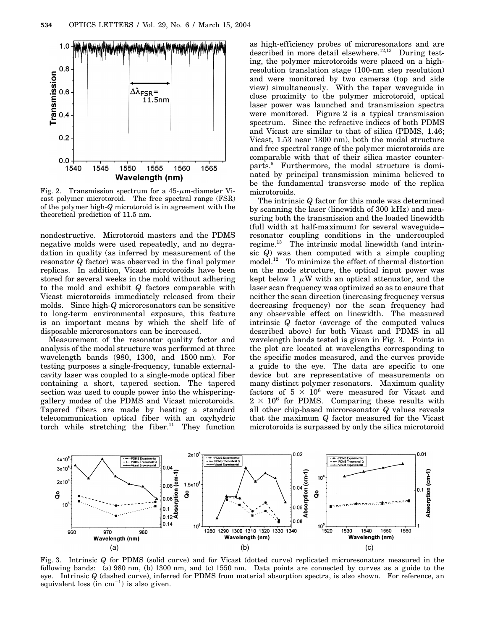

Fig. 2. Transmission spectrum for a  $45-\mu$ m-diameter Vicast polymer microtoroid. The free spectral range (FSR) of the polymer high-*Q* microtoroid is in agreement with the theoretical prediction of 11.5 nm.

nondestructive. Microtoroid masters and the PDMS negative molds were used repeatedly, and no degradation in quality (as inferred by measurement of the resonator *Q* factor) was observed in the final polymer replicas. In addition, Vicast microtoroids have been stored for several weeks in the mold without adhering to the mold and exhibit *Q* factors comparable with Vicast microtoroids immediately released from their molds. Since high-*Q* microresonators can be sensitive to long-term environmental exposure, this feature is an important means by which the shelf life of disposable microresonators can be increased.

Measurement of the resonator quality factor and analysis of the modal structure was performed at three wavelength bands (980, 1300, and 1500 nm). For testing purposes a single-frequency, tunable externalcavity laser was coupled to a single-mode optical fiber containing a short, tapered section. The tapered section was used to couple power into the whisperinggallery modes of the PDMS and Vicast microtoroids. Tapered fibers are made by heating a standard telecommunication optical fiber with an oxyhydric torch while stretching the fiber.<sup>11</sup> They function

as high-efficiency probes of microresonators and are described in more detail elsewhere.<sup>12,13</sup> During testing, the polymer microtoroids were placed on a highresolution translation stage (100-nm step resolution) and were monitored by two cameras (top and side view) simultaneously. With the taper waveguide in close proximity to the polymer microtoroid, optical laser power was launched and transmission spectra were monitored. Figure 2 is a typical transmission spectrum. Since the refractive indices of both PDMS and Vicast are similar to that of silica (PDMS, 1.46; Vicast, 1.53 near 1300 nm), both the modal structure and free spectral range of the polymer microtoroids are comparable with that of their silica master counterparts.5 Furthermore, the modal structure is dominated by principal transmission minima believed to be the fundamental transverse mode of the replica microtoroids.

The intrinsic *Q* factor for this mode was determined by scanning the laser (linewidth of 300 kHz) and measuring both the transmission and the loaded linewidth (full width at half-maximum) for several waveguide– resonator coupling conditions in the undercoupled regime.13 The intrinsic modal linewidth (and intrinsic *Q*) was then computed with a simple coupling model.12 To minimize the effect of thermal distortion on the mode structure, the optical input power was kept below 1  $\mu$ W with an optical attenuator, and the laser scan frequency was optimized so as to ensure that neither the scan direction (increasing frequency versus decreasing frequency) nor the scan frequency had any observable effect on linewidth. The measured intrinsic *Q* factor (average of the computed values described above) for both Vicast and PDMS in all wavelength bands tested is given in Fig. 3. Points in the plot are located at wavelengths corresponding to the specific modes measured, and the curves provide a guide to the eye. The data are specific to one device but are representative of measurements on many distinct polymer resonators. Maximum quality factors of  $5 \times 10^6$  were measured for Vicast and  $2 \times 10^6$  for PDMS. Comparing these results with all other chip-based microresonator *Q* values reveals that the maximum *Q* factor measured for the Vicast microtoroids is surpassed by only the silica microtoroid



Fig. 3. Intrinsic *Q* for PDMS (solid curve) and for Vicast (dotted curve) replicated microresonators measured in the following bands: (a) 980 nm, (b) 1300 nm, and (c) 1550 nm. Data points are connected by curves as a guide to the eye. Intrinsic *Q* (dashed curve), inferred for PDMS from material absorption spectra, is also shown. For reference, an equivalent loss (in  $cm^{-1}$ ) is also given.